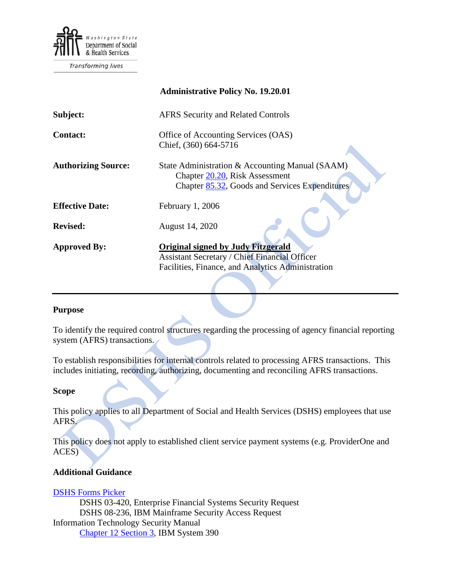

Transforming lives

|                            | <b>Administrative Policy No. 19.20.01</b>                                                                                                              |
|----------------------------|--------------------------------------------------------------------------------------------------------------------------------------------------------|
| Subject:                   | <b>AFRS Security and Related Controls</b>                                                                                                              |
| <b>Contact:</b>            | Office of Accounting Services (OAS)<br>Chief, (360) 664-5716                                                                                           |
| <b>Authorizing Source:</b> | State Administration & Accounting Manual (SAAM)<br>Chapter 20.20, Risk Assessment<br>Chapter 85.32, Goods and Services Expenditures                    |
| <b>Effective Date:</b>     | February 1, 2006                                                                                                                                       |
| <b>Revised:</b>            | August 14, 2020                                                                                                                                        |
| <b>Approved By:</b>        | <b>Original signed by Judy Fitzgerald</b><br><b>Assistant Secretary / Chief Financial Officer</b><br>Facilities, Finance, and Analytics Administration |

#### **Purpose**

To identify the required control structures regarding the processing of agency financial reporting system (AFRS) transactions.

To establish responsibilities for internal controls related to processing AFRS transactions. This includes initiating, recording, authorizing, documenting and reconciling AFRS transactions.

#### **Scope**

This policy applies to all Department of Social and Health Services (DSHS) employees that use AFRS.

This policy does not apply to established client service payment systems (e.g. ProviderOne and ACES)

# **Additional Guidance**

[DSHS Forms Picker](http://forms.dshs.wa.lcl/) DSHS 03-420, Enterprise Financial Systems Security Request DSHS 08-236, IBM Mainframe Security Access Request Information Technology Security Manual [Chapter 12 Section 3,](http://ishare.dshs.wa.lcl/Security/Manual/DSHS_IT_Sec_Ref.pdf) IBM System 390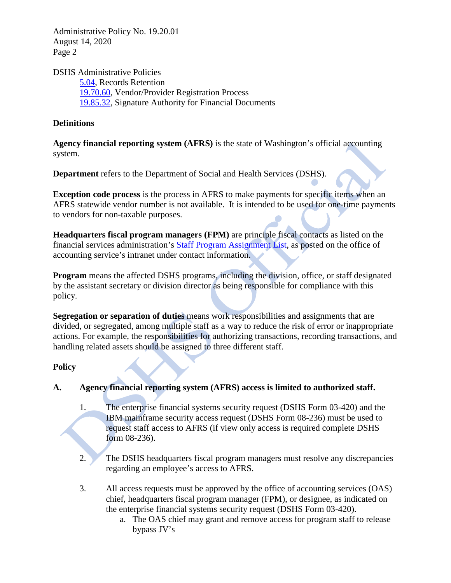Administrative Policy No. 19.20.01 August 14, 2020 Page 2

DSHS Administrative Policies

[5.04,](http://one.dshs.wa.lcl/Policies/Administrative/DSHS-AP-05-04.pdf) Records Retention [19.70.60,](http://one.dshs.wa.lcl/Policies/Administrative/DSHS-AP-19-70-60.pdf) Vendor/Provider Registration Process [19.85.32,](http://one.dshs.wa.lcl/Policies/Administrative/DSHS-AP-19-85-32.pdf) Signature Authority for Financial Documents

# **Definitions**

**Agency financial reporting system (AFRS)** is the state of Washington's official accounting system.

**Department** refers to the Department of Social and Health Services (DSHS).

**Exception code process** is the process in AFRS to make payments for specific items when an AFRS statewide vendor number is not available. It is intended to be used for one-time payments to vendors for non-taxable purposes.

**Headquarters fiscal program managers (FPM)** are principle fiscal contacts as listed on the financial services administration's [Staff Program Assignment List,](http://one.dshs.wa.lcl/FS/Fiscal/Accounting/Documents/Staff%20Program%20Assignment%20List.xlsx) as posted on the office of accounting service's intranet under contact information.

**Program** means the affected DSHS programs, including the division, office, or staff designated by the assistant secretary or division director as being responsible for compliance with this policy.

**Segregation or separation of duties** means work responsibilities and assignments that are divided, or segregated, among multiple staff as a way to reduce the risk of error or inappropriate actions. For example, the responsibilities for authorizing transactions, recording transactions, and handling related assets should be assigned to three different staff.

# **Policy**

# **A. Agency financial reporting system (AFRS) access is limited to authorized staff.**

- 1. The enterprise financial systems security request (DSHS Form 03-420) and the IBM mainframe security access request (DSHS Form 08-236) must be used to request staff access to AFRS (if view only access is required complete DSHS form 08-236).
- 2. The DSHS headquarters fiscal program managers must resolve any discrepancies regarding an employee's access to AFRS.
- 3. All access requests must be approved by the office of accounting services (OAS) chief, headquarters fiscal program manager (FPM), or designee, as indicated on the enterprise financial systems security request (DSHS Form 03-420).
	- a. The OAS chief may grant and remove access for program staff to release bypass JV's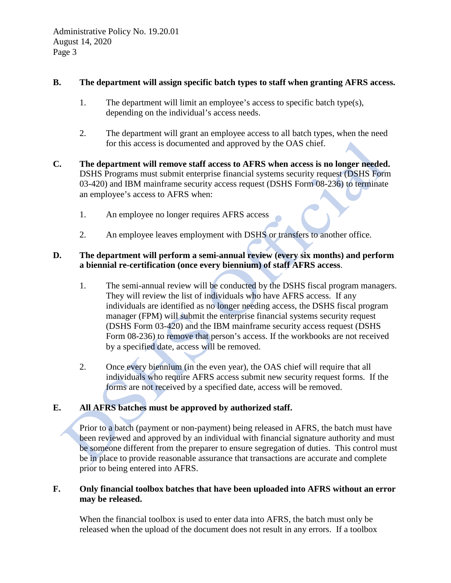### **B. The department will assign specific batch types to staff when granting AFRS access.**

- 1. The department will limit an employee's access to specific batch type(s), depending on the individual's access needs.
- 2. The department will grant an employee access to all batch types, when the need for this access is documented and approved by the OAS chief.
- **C. The department will remove staff access to AFRS when access is no longer needed.**  DSHS Programs must submit enterprise financial systems security request (DSHS Form 03-420) and IBM mainframe security access request (DSHS Form 08-236) to terminate an employee's access to AFRS when:
	- 1. An employee no longer requires AFRS access
	- 2. An employee leaves employment with DSHS or transfers to another office.

# **D. The department will perform a semi-annual review (every six months) and perform a biennial re-certification (once every biennium) of staff AFRS access**.

- 1. The semi-annual review will be conducted by the DSHS fiscal program managers. They will review the list of individuals who have AFRS access. If any individuals are identified as no longer needing access, the DSHS fiscal program manager (FPM) will submit the enterprise financial systems security request (DSHS Form 03-420) and the IBM mainframe security access request (DSHS Form 08-236) to remove that person's access. If the workbooks are not received by a specified date, access will be removed.
- 2. Once every biennium (in the even year), the OAS chief will require that all individuals who require AFRS access submit new security request forms. If the forms are not received by a specified date, access will be removed.

# **E. All AFRS batches must be approved by authorized staff.**

Prior to a batch (payment or non-payment) being released in AFRS, the batch must have been reviewed and approved by an individual with financial signature authority and must be someone different from the preparer to ensure segregation of duties. This control must be in place to provide reasonable assurance that transactions are accurate and complete prior to being entered into AFRS.

#### **F. Only financial toolbox batches that have been uploaded into AFRS without an error may be released.**

When the financial toolbox is used to enter data into AFRS, the batch must only be released when the upload of the document does not result in any errors. If a toolbox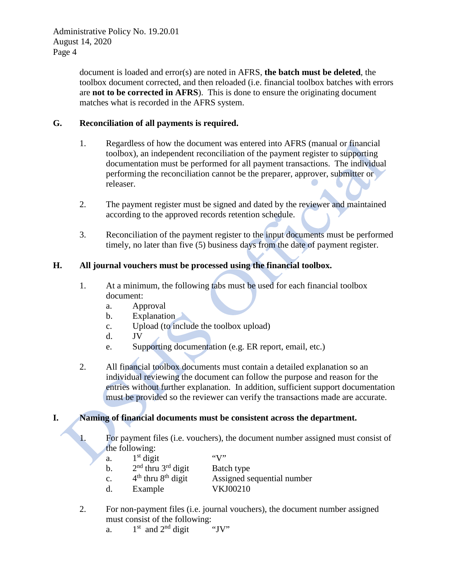document is loaded and error(s) are noted in AFRS, **the batch must be deleted**, the toolbox document corrected, and then reloaded (i.e. financial toolbox batches with errors are **not to be corrected in AFRS**). This is done to ensure the originating document matches what is recorded in the AFRS system.

### **G. Reconciliation of all payments is required.**

- 1. Regardless of how the document was entered into AFRS (manual or financial toolbox), an independent reconciliation of the payment register to supporting documentation must be performed for all payment transactions. The individual performing the reconciliation cannot be the preparer, approver, submitter or releaser.
- 2. The payment register must be signed and dated by the reviewer and maintained according to the approved records retention schedule.
- 3. Reconciliation of the payment register to the input documents must be performed timely, no later than five (5) business days from the date of payment register.

# **H. All journal vouchers must be processed using the financial toolbox.**

- 1. At a minimum, the following tabs must be used for each financial toolbox document:
	- a. Approval
	- b. Explanation
	- c. Upload (to include the toolbox upload)
	- d. JV
	- e. Supporting documentation (e.g. ER report, email, etc.)
- 2. All financial toolbox documents must contain a detailed explanation so an individual reviewing the document can follow the purpose and reason for the entries without further explanation. In addition, sufficient support documentation must be provided so the reviewer can verify the transactions made are accurate.

# **I. Naming of financial documents must be consistent across the department.**

1. For payment files (i.e. vouchers), the document number assigned must consist of the following:

| a.             | $1st$ digit            | $\mathfrak{C}(\mathcal{N})$ |
|----------------|------------------------|-----------------------------|
| b.             | $2nd$ thru $3rd$ digit | Batch type                  |
| $\mathbf{c}$ . | $4th$ thru $8th$ digit | Assigned sequential number  |
| d.             | Example                | VKJ00210                    |

- 2. For non-payment files (i.e. journal vouchers), the document number assigned must consist of the following:<br>a.  $1<sup>st</sup>$  and  $2<sup>nd</sup>$  digit "JV"
	- a.  $1<sup>st</sup>$  and  $2<sup>nd</sup>$  digit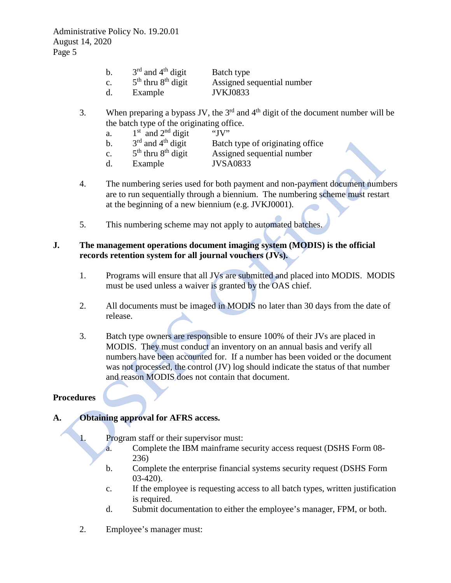| b. | $3rd$ and $4th$ digit  | Batch type                 |
|----|------------------------|----------------------------|
| c. | $5th$ thru $8th$ digit | Assigned sequential number |
| d. | Example                | <b>JVKJ0833</b>            |

- 3. When preparing a bypass JV, the  $3<sup>rd</sup>$  and  $4<sup>th</sup>$  digit of the document number will be the batch type of the originating office.
	- a.  $1^{\text{st}}$  and  $2^{\text{nd}}$  digit "JV"<br>b.  $3^{\text{rd}}$  and  $4^{\text{th}}$  digit Batch
		-
	- b.  $3^{\text{rd}}$  and  $4^{\text{th}}$  digit Batch type of originating office<br>c.  $5^{\text{th}}$  thru  $8^{\text{th}}$  digit Assigned sequential number c.  $5<sup>th</sup>$  thru  $8<sup>th</sup>$  digit Assigned sequential number
	- d. Example JVSA0833
- 4. The numbering series used for both payment and non-payment document numbers are to run sequentially through a biennium. The numbering scheme must restart at the beginning of a new biennium (e.g. JVKJ0001).
- 5. This numbering scheme may not apply to automated batches.

### **J. The management operations document imaging system (MODIS) is the official records retention system for all journal vouchers (JVs).**

- 1. Programs will ensure that all JVs are submitted and placed into MODIS. MODIS must be used unless a waiver is granted by the OAS chief.
- 2. All documents must be imaged in MODIS no later than 30 days from the date of release.
- 3. Batch type owners are responsible to ensure 100% of their JVs are placed in MODIS. They must conduct an inventory on an annual basis and verify all numbers have been accounted for. If a number has been voided or the document was not processed, the control (JV) log should indicate the status of that number and reason MODIS does not contain that document.

# **Procedures**

# **A. Obtaining approval for AFRS access.**

1. Program staff or their supervisor must:

- a. Complete the IBM mainframe security access request (DSHS Form 08- 236)
- b. Complete the enterprise financial systems security request (DSHS Form 03-420).
- c. If the employee is requesting access to all batch types, written justification is required.
- d. Submit documentation to either the employee's manager, FPM, or both.
- 2. Employee's manager must: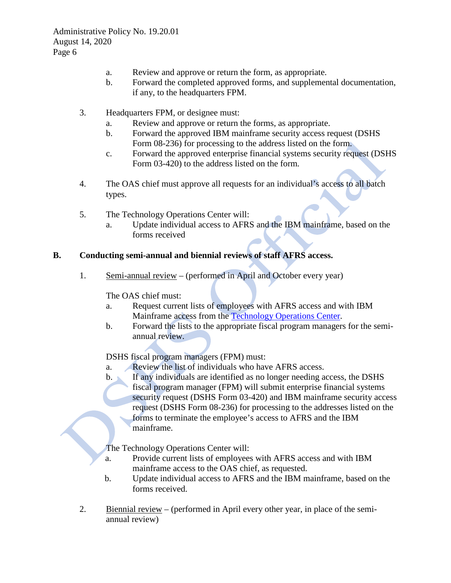- a. Review and approve or return the form, as appropriate.
- b. Forward the completed approved forms, and supplemental documentation, if any, to the headquarters FPM.
- 3. Headquarters FPM, or designee must:
	- a. Review and approve or return the forms, as appropriate.
	- b. Forward the approved IBM mainframe security access request (DSHS Form 08-236) for processing to the address listed on the form.
	- c. Forward the approved enterprise financial systems security request (DSHS Form 03-420) to the address listed on the form*.*
- 4. The OAS chief must approve all requests for an individual's access to all batch types.
- 5. The Technology Operations Center will:
	- a. Update individual access to AFRS and the IBM mainframe, based on the forms received

# **B. Conducting semi-annual and biennial reviews of staff AFRS access.**

1. Semi-annual review – (performed in April and October every year)

The OAS chief must:

- a. Request current lists of employees with AFRS access and with IBM Mainframe access from the [Technology Operations Center.](https://etrequests.dshs.wa.lcl/)
- b. Forward the lists to the appropriate fiscal program managers for the semiannual review.

# DSHS fiscal program managers (FPM) must:

- a. Review the list of individuals who have AFRS access.
- b. If any individuals are identified as no longer needing access, the DSHS fiscal program manager (FPM) will submit enterprise financial systems security request (DSHS Form 03-420) and IBM mainframe security access request (DSHS Form 08-236) for processing to the addresses listed on the forms to terminate the employee's access to AFRS and the IBM mainframe.

The Technology Operations Center will:

- a. Provide current lists of employees with AFRS access and with IBM mainframe access to the OAS chief, as requested.
- b. Update individual access to AFRS and the IBM mainframe, based on the forms received.
- 2. Biennial review (performed in April every other year, in place of the semiannual review)